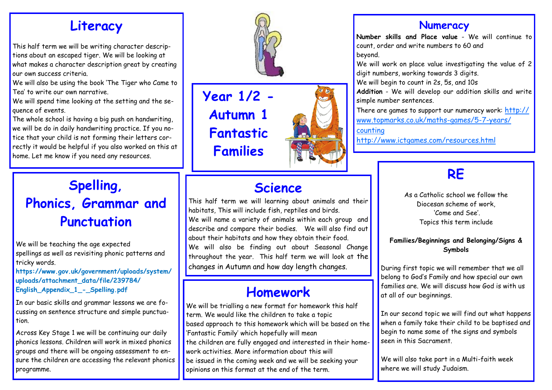### **Literacy**

This half term we will be writing character descriptions about an escaped tiger. We will be looking at what makes a character description great by creating our own success criteria.

We will also be using the book 'The Tiger who Came to Tea' to write our own narrative.

We will spend time looking at the setting and the sequence of events.

The whole school is having a big push on handwriting, we will be do in daily handwriting practice. If you notice that your child is not forming their letters correctly it would be helpful if you also worked on this at home. Let me know if you need any resources.

# **Spelling, Phonics, Grammar and Punctuation**

We will be teaching the age expected spellings as well as revisiting phonic patterns and tricky words.

**https://www.gov.uk/government/uploads/system/ uploads/attachment\_data/file/239784/ English\_Appendix\_1\_-\_Spelling.pdf**

In our basic skills and grammar lessons we are focussing on sentence structure and simple punctuation.

Across Key Stage 1 we will be continuing our daily phonics lessons. Children will work in mixed phonics groups and there will be ongoing assessment to ensure the children are accessing the relevant phonics programme.



**Year 1/2 - Autumn 1 Fantastic Families**



# **Science**

This half term we will learning about animals and their habitats, This will include fish, reptiles and birds. We will name a variety of animals within each group and describe and compare their bodies. We will also find out about their habitats and how they obtain their food. We will also be finding out about Seasonal Change throughout the year. This half term we will look at the changes in Autumn and how day length changes.

## **Homework**

We will be trialling a new format for homework this half term. We would like the children to take a topic based approach to this homework which will be based on the 'Fantastic Family' which hopefully will mean the children are fully engaged and interested in their homework activities. More information about this will be issued in the coming week and we will be seeking your opinions on this format at the end of the term.

#### **Numeracy**

**Number skills and Place value** - We will continue to count, order and write numbers to 60 and beyond.

We will work on place value investigating the value of 2 digit numbers, working towards 3 digits.

We will begin to count in 2s, 5s, and 10s

**Addition** - We will develop our addition skills and write simple number sentences.

There are games to support our numeracy work: [http://](http://www.topmarks.co.uk/maths-games/5-7-years/counting) [www.topmarks.co.uk/maths-games/5-7-years/](http://www.topmarks.co.uk/maths-games/5-7-years/counting) [counting](http://www.topmarks.co.uk/maths-games/5-7-years/counting)

<http://www.ictgames.com/resources.html>

# **RE**

As a Catholic school we follow the Diocesan scheme of work, 'Come and See'. Topics this term include

#### **Families/Beginnings and Belonging/Signs & Symbols**

During first topic we will remember that we all belong to God's Family and how special our own families are. We will discuss how God is with us at all of our beginnings.

In our second topic we will find out what happens when a family take their child to be baptised and begin to name some of the signs and symbols seen in this Sacrament.

We will also take part in a Multi-faith week where we will study Judaism.